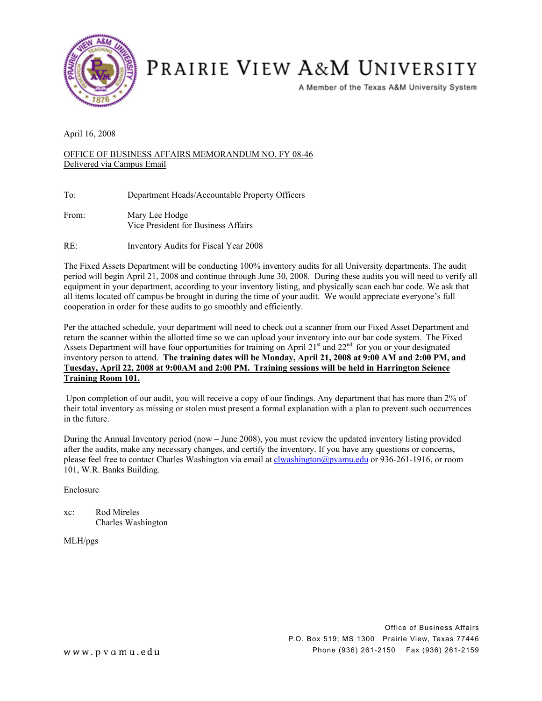

## PRAIRIE VIEW A&M UNIVERSITY

A Member of the Texas A&M University System

April 16, 2008

OFFICE OF BUSINESS AFFAIRS MEMORANDUM NO. FY 08-46 Delivered via Campus Email

To: Department Heads/Accountable Property Officers

- From: Mary Lee Hodge Vice President for Business Affairs
- RE: Inventory Audits for Fiscal Year 2008

The Fixed Assets Department will be conducting 100% inventory audits for all University departments. The audit period will begin April 21, 2008 and continue through June 30, 2008. During these audits you will need to verify all equipment in your department, according to your inventory listing, and physically scan each bar code. We ask that all items located off campus be brought in during the time of your audit. We would appreciate everyone's full cooperation in order for these audits to go smoothly and efficiently.

Per the attached schedule, your department will need to check out a scanner from our Fixed Asset Department and return the scanner within the allotted time so we can upload your inventory into our bar code system. The Fixed Assets Department will have four opportunities for training on April 21<sup>st</sup> and 22<sup>nd</sup> for you or your designated inventory person to attend. **The training dates will be Monday, April 21, 2008 at 9:00 AM and 2:00 PM, and Tuesday, April 22, 2008 at 9:00AM and 2:00 PM. Training sessions will be held in Harrington Science Training Room 101.** 

Upon completion of our audit, you will receive a copy of our findings. Any department that has more than 2% of their total inventory as missing or stolen must present a formal explanation with a plan to prevent such occurrences in the future.

During the Annual Inventory period (now – June 2008), you must review the updated inventory listing provided after the audits, make any necessary changes, and certify the inventory. If you have any questions or concerns, please feel free to contact Charles Washington via email at [clwashington@pvamu.edu](mailto:clwashington@pvamu.edu) or 936-261-1916, or room 101, W.R. Banks Building.

Enclosure

xc: Rod Mireles Charles Washington

MLH/pgs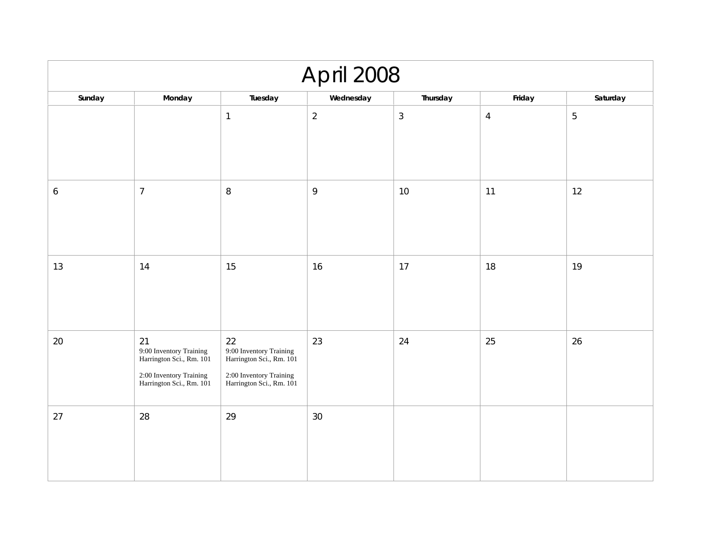| April 2008 |                                                                                                                  |                                                                                                                  |                |                |                |                |
|------------|------------------------------------------------------------------------------------------------------------------|------------------------------------------------------------------------------------------------------------------|----------------|----------------|----------------|----------------|
| Sunday     | Monday                                                                                                           | Tuesday                                                                                                          | Wednesday      | Thursday       | Friday         | Saturday       |
|            |                                                                                                                  | $\mathbf{1}$                                                                                                     | $\overline{2}$ | $\mathfrak{Z}$ | $\overline{4}$ | $\overline{5}$ |
| 6          | $\overline{7}$                                                                                                   | $\, 8$                                                                                                           | 9              | 10             | 11             | 12             |
| 13         | 14                                                                                                               | 15                                                                                                               | 16             | 17             | 18             | 19             |
| 20         | 21<br>9:00 Inventory Training<br>Harrington Sci., Rm. 101<br>2:00 Inventory Training<br>Harrington Sci., Rm. 101 | 22<br>9:00 Inventory Training<br>Harrington Sci., Rm. 101<br>2:00 Inventory Training<br>Harrington Sci., Rm. 101 | 23             | 24             | 25             | 26             |
| 27         | 28                                                                                                               | 29                                                                                                               | 30             |                |                |                |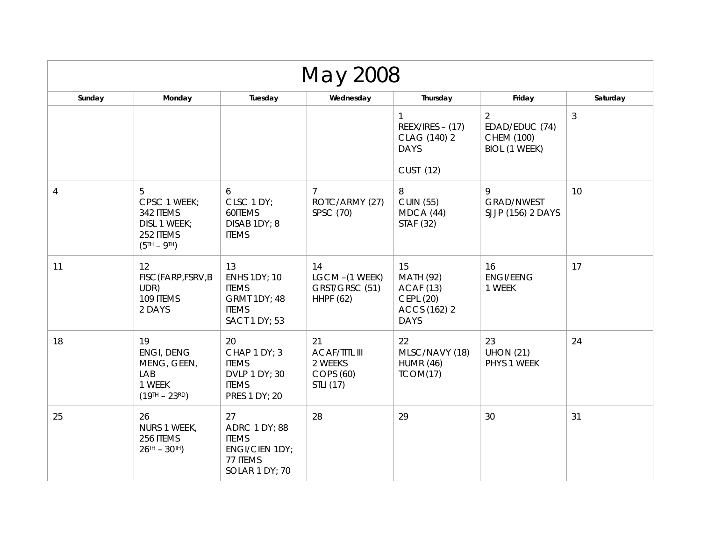| May 2008       |                                                                                  |                                                                                                          |                                                                 |                                                                                        |                                                           |                |
|----------------|----------------------------------------------------------------------------------|----------------------------------------------------------------------------------------------------------|-----------------------------------------------------------------|----------------------------------------------------------------------------------------|-----------------------------------------------------------|----------------|
| Sunday         | Monday                                                                           | Tuesday                                                                                                  | Wednesday                                                       | Thursday                                                                               | Friday                                                    | Saturday       |
|                |                                                                                  |                                                                                                          |                                                                 | 1<br>$REEX/IRES - (17)$<br>CLAG (140) 2<br><b>DAYS</b>                                 | 2<br>EDAD/EDUC (74)<br><b>CHEM (100)</b><br>BIOL (1 WEEK) | $\mathfrak{Z}$ |
|                |                                                                                  |                                                                                                          |                                                                 | CUST (12)                                                                              |                                                           |                |
| $\overline{4}$ | 5<br>CPSC 1 WEEK;<br>342 ITEMS<br>DISL 1 WEEK;<br>252 ITEMS<br>$(5TH - 9TH)$     | 6<br>CLSC 1 DY;<br>60ITEMS<br>DISAB 1DY; 8<br><b>ITEMS</b>                                               | 7<br>ROTC/ARMY (27)<br>SPSC (70)                                | 8<br><b>CUIN (55)</b><br>MDCA(44)<br>STAF (32)                                         | 9<br><b>GRAD/NWEST</b><br>SJJP (156) 2 DAYS               | 10             |
| 11             | 12<br>FISC (FARP, FSRV, B<br>UDR)<br>109 ITEMS<br>2 DAYS                         | 13<br><b>ENHS 1DY; 10</b><br><b>ITEMS</b><br><b>GRMT 1DY; 48</b><br><b>ITEMS</b><br><b>SACT 1 DY; 53</b> | 14<br>LGCM-(1 WEEK)<br>GRST/GRSC (51)<br><b>HHPF (62)</b>       | 15<br><b>MATH (92)</b><br><b>ACAF (13)</b><br>CEPL (20)<br>ACCS (162) 2<br><b>DAYS</b> | 16<br><b>ENGI/EENG</b><br>1 WEEK                          | 17             |
| 18             | 19<br><b>ENGI, DENG</b><br>MENG, GEEN,<br>LAB<br>1 WEEK<br>$(19^{TH} - 23^{RD})$ | 20<br>CHAP 1 DY; 3<br><b>ITEMS</b><br>DVLP 1 DY; 30<br><b>ITEMS</b><br>PRES 1 DY; 20                     | 21<br><b>ACAF/TITL III</b><br>2 WEEKS<br>COPS (60)<br>STLI (17) | 22<br>MLSC/NAVY (18)<br><b>HUMR (46)</b><br>TCOM(17)                                   | 23<br><b>UHON (21)</b><br>PHYS 1 WEEK                     | 24             |
| 25             | 26<br>NURS 1 WEEK,<br>256 ITEMS<br>$26$ <sup>TH</sup> - $30$ <sup>TH</sup> )     | 27<br><b>ADRC 1 DY; 88</b><br><b>ITEMS</b><br><b>ENGI/CIEN 1DY;</b><br>77 ITEMS<br>SOLAR 1 DY; 70        | 28                                                              | 29                                                                                     | 30                                                        | 31             |